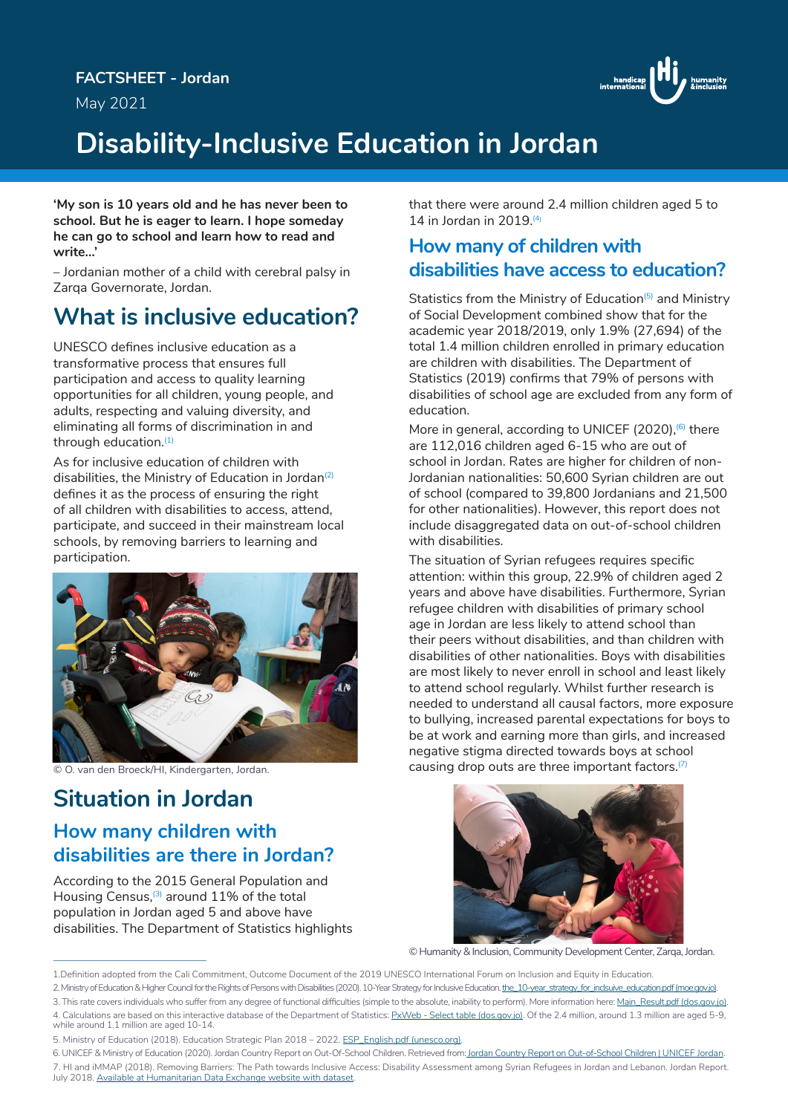May 2021



## **Disability-Inclusive Education in Jordan**

**'My son is 10 years old and he has never been to school. But he is eager to learn. I hope someday he can go to school and learn how to read and write…'**

– Jordanian mother of a child with cerebral palsy in Zarqa Governorate, Jordan.

### **What is inclusive education?**

UNESCO defines inclusive education as a transformative process that ensures full participation and access to quality learning opportunities for all children, young people, and adults, respecting and valuing diversity, and eliminating all forms of discrimination in and through education.<sup>(1)</sup>

As for inclusive education of children with disabilities, the Ministry of Education in Jordan<sup>(2)</sup> defines it as the process of ensuring the right of all children with disabilities to access, attend, participate, and succeed in their mainstream local schools, by removing barriers to learning and participation.



© O. van den Broeck/HI, Kindergarten, Jordan.

# **Situation in Jordan**

#### **How many children with disabilities are there in Jordan?**

According to the 2015 General Population and Housing Census,<sup>(3)</sup> around 11% of the total population in Jordan aged 5 and above have disabilities. The Department of Statistics highlights that there were around 2.4 million children aged 5 to 14 in Jordan in 2019.(4)

#### **How many of children with disabilities have access to education?**

Statistics from the Ministry of Education<sup>(5)</sup> and Ministry of Social Development combined show that for the academic year 2018/2019, only 1.9% (27,694) of the total 1.4 million children enrolled in primary education are children with disabilities. The Department of Statistics (2019) confirms that 79% of persons with disabilities of school age are excluded from any form of education.

More in general, according to UNICEF (2020),<sup>6</sup> there are 112,016 children aged 6-15 who are out of school in Jordan. Rates are higher for children of non-Jordanian nationalities: 50,600 Syrian children are out of school (compared to 39,800 Jordanians and 21,500 for other nationalities). However, this report does not include disaggregated data on out-of-school children with disabilities.

The situation of Syrian refugees requires specific attention: within this group, 22.9% of children aged 2 years and above have disabilities. Furthermore, Syrian refugee children with disabilities of primary school age in Jordan are less likely to attend school than their peers without disabilities, and than children with disabilities of other nationalities. Boys with disabilities are most likely to never enroll in school and least likely to attend school regularly. Whilst further research is needed to understand all causal factors, more exposure to bullying, increased parental expectations for boys to be at work and earning more than girls, and increased negative stigma directed towards boys at school causing drop outs are three important factors.<sup>(7)</sup>



© Humanity & Inclusion, Community Development Center, Zarqa, Jordan.

1.Definition adopted from the Cali Commitment, Outcome Document of the 2019 UNESCO International Forum on Inclusion and Equity in Education.

2. Ministry of Education & Higher Council for the Rights of Persons with Disabilities (2020). 10-Year Strategy for Inclusive Education. the\_10-year\_strategy\_for\_indsuive\_education.pdf (moe.gov.jo). 3. This rate covers individuals who suffer from any degree of functional difficulties (simple to the absolute, inability to perform). More information here: Main\_Result.pdf (dos.gov.jo).

4. Calculations are based on this interactive database of the Department of Statistics: PxWeb - Select table (dos.gov.jo). Of the 2.4 million, around 1.3 million are aged 5-9, while around 1.1 million are aged 10-14.

5. Ministry of Education (2018). Education Strategic Plan 2018 – 2022. ESP\_English.pdf (unesco.org).

<sup>6.</sup> UNICEF & Ministry of Education (2020). Jordan Country Report on Out-Of-School Children. Retrieved from: Jordan Country Report on Out-of-School Children | UNICEF Jordan. 7. HI and iMMAP (2018). Removing Barriers: The Path towards Inclusive Access: Disability Assessment among Syrian Refugees in Jordan and Lebanon. Jordan Report. July 2018. Available at Humanitarian Data Exchange website with dataset.